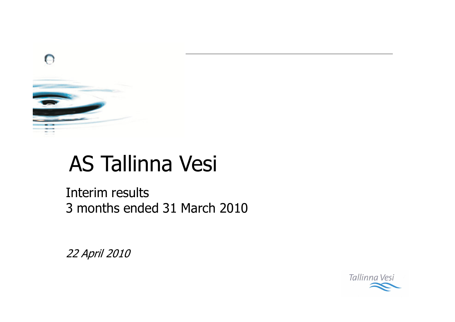

# **AS Tallinna Vesi**

Interim results 3 months ended 31 March 2010

22 April 2010

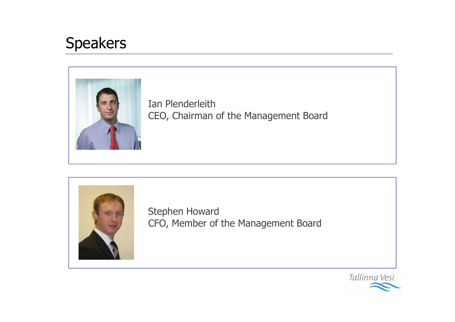### **Speakers**



Ian Plenderleith CEO, Chairman of the Management Board



Stephen Howard CFO, Member of the Management Board

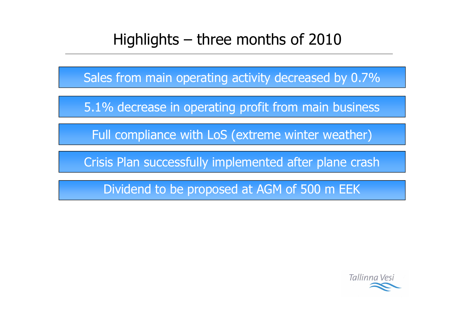### Highlights  $-$  three months of 2010

Sales from main operating activity decreased by 0.7%

5.1% decrease in operating profit from main business

Full compliance with LoS (extreme winter weather)

Crisis Plan successfully implemented after plane crash

Dividend to be proposed at AGM of 500 m EEK

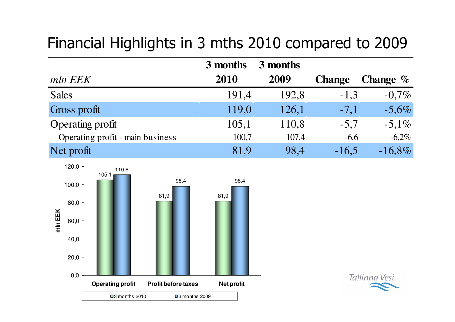### Financial Highlights in 3 mths 2010 compared to 2009

|                                  | 3 months | 3 months |               |                    |
|----------------------------------|----------|----------|---------------|--------------------|
| mln EEK                          | 2010     | 2009     | <b>Change</b> | <b>Change</b> $\%$ |
| <b>Sales</b>                     | 191,4    | 192,8    | $-1,3$        | $-0.7\%$           |
| Gross profit                     | 119,0    | 126,1    | $-7,1$        | $-5,6%$            |
| <b>Operating profit</b>          | 105,1    | 110,8    | $-5,7$        | $-5,1\%$           |
| Operating profit - main business | 100,7    | 107,4    | $-6,6$        | $-6,2%$            |
| Net profit                       | 81,9     | 98,4     | $-16,5$       | $-16,8%$           |



Tallinna Vesi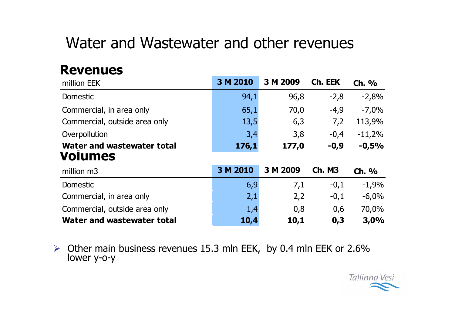### Water and Wastewater and other revenues

### **Revenues**

| million EEK                   | 3 M 2010 | 3 M 2009 | Ch. EEK       | $Ch.$ %  |
|-------------------------------|----------|----------|---------------|----------|
| Domestic                      | 94,1     | 96,8     | $-2,8$        | $-2,8%$  |
| Commercial, in area only      | 65,1     | 70,0     | $-4,9$        | $-7,0%$  |
| Commercial, outside area only | 13,5     | 6,3      | 7,2           | 113,9%   |
| Overpollution                 | 3,4      | 3,8      | $-0,4$        | $-11,2%$ |
| Water and wastewater total    | 176,1    | 177,0    | $-0,9$        | $-0,5%$  |
| <b>Volumes</b>                |          |          |               |          |
| million m3                    | 3 M 2010 | 3 M 2009 | <b>Ch. M3</b> | Ch. %    |
| Domestic                      | 6,9      | 7,1      | $-0,1$        | $-1,9%$  |
| Commercial, in area only      | 2,1      | 2,2      | $-0,1$        | $-6,0%$  |
| Commercial, outside area only | 1,4      | 0,8      | 0,6           | 70,0%    |
|                               |          |          |               |          |

 $\triangleright$  Other main business revenues 15.3 mln EEK, by 0.4 mln EEK or 2.6% lower y-o-y

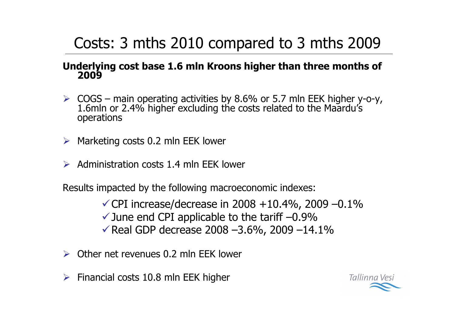## Costs: 3 mths 2010 compared to 3 mths 2009

#### Underlying cost base 1.6 mln Kroons higher than three months of 2009

- $\triangleright$  COGS main operating activities by 8.6% or 5.7 mln EEK higher y-o-y,<br>1.6mln or 2.4% higher excluding the costs related to the Maardu's operations
- $\triangleright$  Marketing costs 0.2 mln EEK lower
- Administration costs 1.4 mln FFK lower

Results impacted by the following macroeconomic indexes:

 $\checkmark$  CPI increase/decrease in 2008 +10.4%, 2009 −0.1%  $\checkmark$  June end CPI applicable to the tariff  $-0.9\%$  $\sqrt{14.1\%}$  Real GDP decrease 2008 -3.6%, 2009 -14.1%

- $\triangleright$  Other net revenues 0.2 mln FFK lower
- Financial costs 10.8 mln EEK higher  $\blacktriangleright$

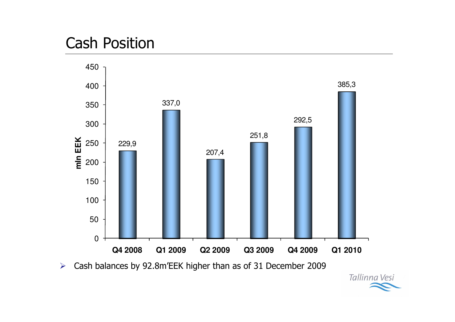### **Cash Position**



Cash balances by 92.8m'EEK higher than as of 31 December 2009  $\blacktriangleright$ 

Tallinna Vesi